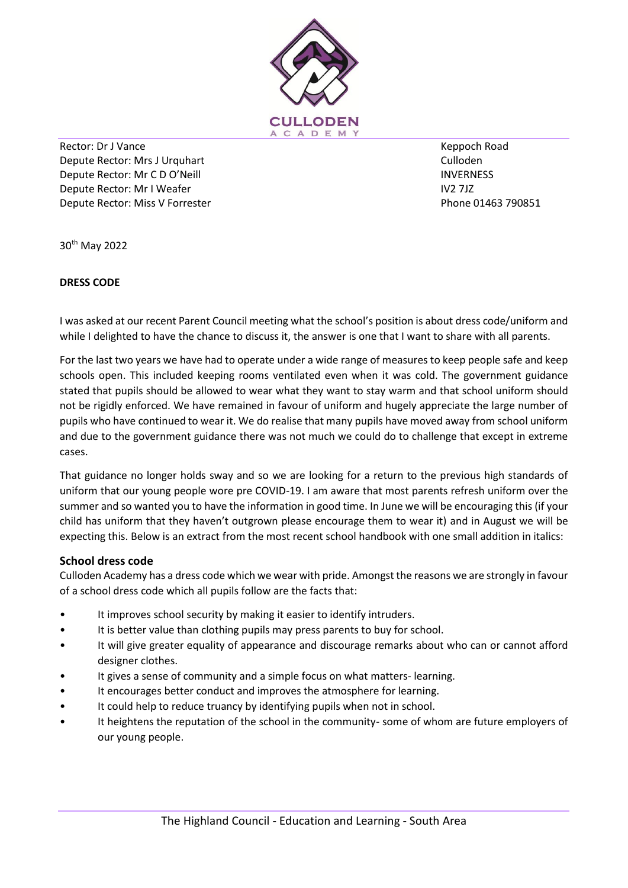

Rector: Dr J Vance Depute Rector: Mrs J Urquhart Depute Rector: Mr C D O'Neill Depute Rector: Mr I Weafer Depute Rector: Miss V Forrester

Keppoch Road Culloden **INVERNESS** IV2 7JZ Phone 01463 790851

30th May 2022

## **DRESS CODE**

I was asked at our recent Parent Council meeting what the school's position is about dress code/uniform and while I delighted to have the chance to discuss it, the answer is one that I want to share with all parents.

For the last two years we have had to operate under a wide range of measures to keep people safe and keep schools open. This included keeping rooms ventilated even when it was cold. The government guidance stated that pupils should be allowed to wear what they want to stay warm and that school uniform should not be rigidly enforced. We have remained in favour of uniform and hugely appreciate the large number of pupils who have continued to wear it. We do realise that many pupils have moved away from school uniform and due to the government guidance there was not much we could do to challenge that except in extreme cases.

That guidance no longer holds sway and so we are looking for a return to the previous high standards of uniform that our young people wore pre COVID-19. I am aware that most parents refresh uniform over the summer and so wanted you to have the information in good time. In June we will be encouraging this (if your child has uniform that they haven't outgrown please encourage them to wear it) and in August we will be expecting this. Below is an extract from the most recent school handbook with one small addition in italics:

## **School dress code**

Culloden Academy has a dress code which we wear with pride. Amongst the reasons we are strongly in favour of a school dress code which all pupils follow are the facts that:

- It improves school security by making it easier to identify intruders.
- It is better value than clothing pupils may press parents to buy for school.
- It will give greater equality of appearance and discourage remarks about who can or cannot afford designer clothes.
- It gives a sense of community and a simple focus on what matters- learning.
- It encourages better conduct and improves the atmosphere for learning.
- It could help to reduce truancy by identifying pupils when not in school.
- It heightens the reputation of the school in the community- some of whom are future employers of our young people.